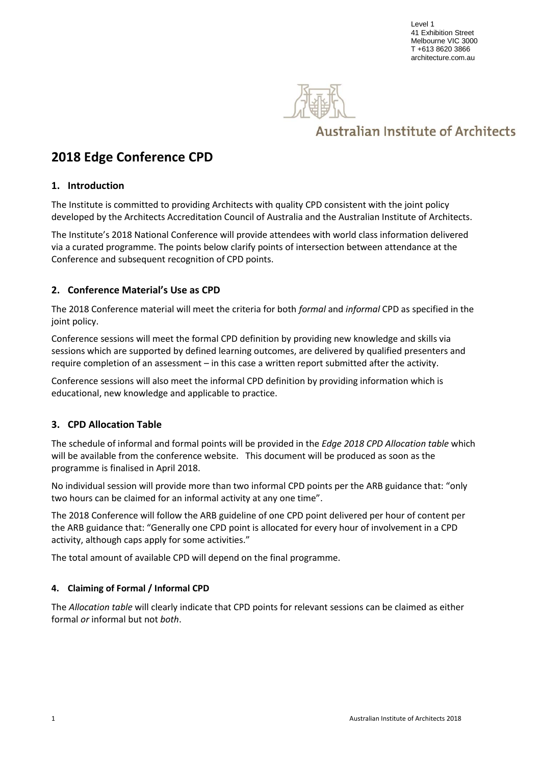Level 1 41 Exhibition Street Melbourne VIC 3000 T +613 8620 3866 architecture.com.au



# **Australian Institute of Architects**

## **2018 Edge Conference CPD**

### **1. Introduction**

The Institute is committed to providing Architects with quality CPD consistent with the joint policy developed by the Architects Accreditation Council of Australia and the Australian Institute of Architects.

The Institute's 2018 National Conference will provide attendees with world class information delivered via a curated programme. The points below clarify points of intersection between attendance at the Conference and subsequent recognition of CPD points.

## **2. Conference Material's Use as CPD**

The 2018 Conference material will meet the criteria for both *formal* and *informal* CPD as specified in the joint policy.

Conference sessions will meet the formal CPD definition by providing new knowledge and skills via sessions which are supported by defined learning outcomes, are delivered by qualified presenters and require completion of an assessment – in this case a written report submitted after the activity.

Conference sessions will also meet the informal CPD definition by providing information which is educational, new knowledge and applicable to practice.

#### **3. CPD Allocation Table**

The schedule of informal and formal points will be provided in the *Edge 2018 CPD Allocation table* which will be available from the conference website. This document will be produced as soon as the programme is finalised in April 2018.

No individual session will provide more than two informal CPD points per the ARB guidance that: "only two hours can be claimed for an informal activity at any one time".

The 2018 Conference will follow the ARB guideline of one CPD point delivered per hour of content per the ARB guidance that: "Generally one CPD point is allocated for every hour of involvement in a CPD activity, although caps apply for some activities."

The total amount of available CPD will depend on the final programme.

#### **4. Claiming of Formal / Informal CPD**

The *Allocation table* will clearly indicate that CPD points for relevant sessions can be claimed as either formal *or* informal but not *both*.